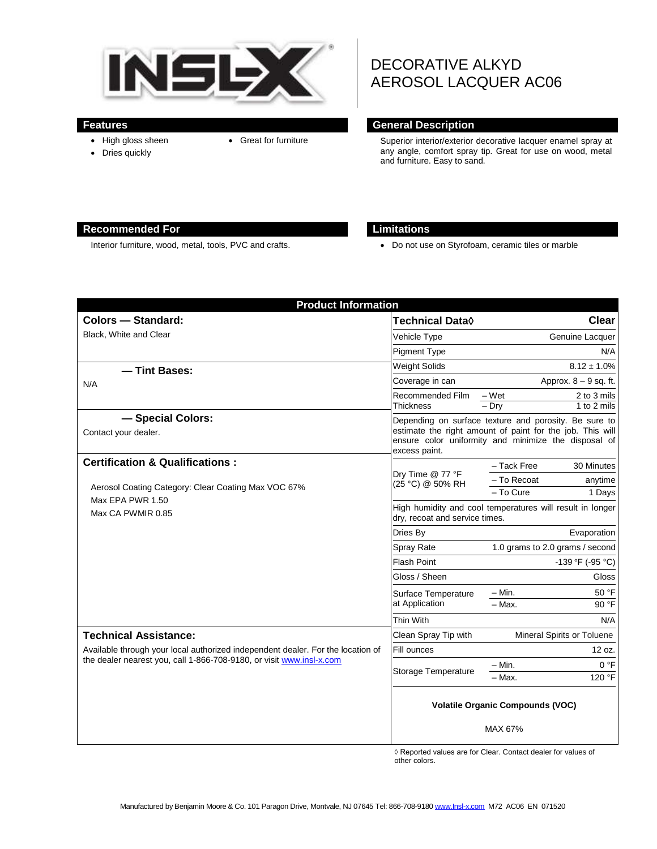

- High gloss sheen • Dries quickly
- 

# DECORATIVE ALKYD AEROSOL LACQUER AC06

#### **Features General Description**

 Great for furniture Superior interior/exterior decorative lacquer enamel spray at any angle, comfort spray tip. Great for use on wood, metal and furniture. Easy to sand.

#### **Recommended For Limitations**

Interior furniture, wood, metal, tools, PVC and crafts. **Do not use on Styrofoam**, ceramic tiles or marble

| <b>Product Information</b>                                                                                                                              |                                                                                                                                                                                             |                                                                            |
|---------------------------------------------------------------------------------------------------------------------------------------------------------|---------------------------------------------------------------------------------------------------------------------------------------------------------------------------------------------|----------------------------------------------------------------------------|
| <b>Colors - Standard:</b>                                                                                                                               | Technical Data◊                                                                                                                                                                             | Clear                                                                      |
| Black, White and Clear                                                                                                                                  | Vehicle Type                                                                                                                                                                                | Genuine Lacquer                                                            |
|                                                                                                                                                         | <b>Pigment Type</b>                                                                                                                                                                         | N/A                                                                        |
| - Tint Bases:<br>N/A                                                                                                                                    | <b>Weight Solids</b>                                                                                                                                                                        | $8.12 \pm 1.0\%$                                                           |
|                                                                                                                                                         | Coverage in can                                                                                                                                                                             | Approx. $8 - 9$ sq. ft.                                                    |
|                                                                                                                                                         | Recommended Film<br><b>Thickness</b>                                                                                                                                                        | – Wet<br>2 to 3 mils<br>$-$ Drv<br>1 to 2 mils                             |
| - Special Colors:<br>Contact your dealer.                                                                                                               | Depending on surface texture and porosity. Be sure to<br>estimate the right amount of paint for the job. This will<br>ensure color uniformity and minimize the disposal of<br>excess paint. |                                                                            |
| <b>Certification &amp; Qualifications:</b><br>Aerosol Coating Category: Clear Coating Max VOC 67%<br>Max EPA PWR 1.50<br>Max CA PWMIR 0.85              | Dry Time @ 77 °F<br>(25 °C) @ 50% RH                                                                                                                                                        | - Tack Free<br>30 Minutes<br>– To Recoat<br>anytime<br>- To Cure<br>1 Days |
|                                                                                                                                                         | High humidity and cool temperatures will result in longer<br>dry, recoat and service times.                                                                                                 |                                                                            |
|                                                                                                                                                         | Dries By                                                                                                                                                                                    | Evaporation                                                                |
|                                                                                                                                                         | <b>Spray Rate</b>                                                                                                                                                                           | 1.0 grams to 2.0 grams / second                                            |
|                                                                                                                                                         | <b>Flash Point</b>                                                                                                                                                                          | -139 °F (-95 °C)                                                           |
|                                                                                                                                                         | Gloss / Sheen                                                                                                                                                                               | Gloss                                                                      |
|                                                                                                                                                         | Surface Temperature<br>at Application                                                                                                                                                       | 50 °F<br>$-$ Min.                                                          |
|                                                                                                                                                         |                                                                                                                                                                                             | - Max.<br>90 °F                                                            |
|                                                                                                                                                         | Thin With                                                                                                                                                                                   | N/A                                                                        |
| <b>Technical Assistance:</b>                                                                                                                            | Clean Spray Tip with                                                                                                                                                                        | Mineral Spirits or Toluene                                                 |
| Available through your local authorized independent dealer. For the location of<br>the dealer nearest you, call 1-866-708-9180, or visit www.insl-x.com | Fill ounces                                                                                                                                                                                 | 12 oz.                                                                     |
|                                                                                                                                                         | Storage Temperature                                                                                                                                                                         | 0 °F<br>$-$ Min.                                                           |
|                                                                                                                                                         |                                                                                                                                                                                             | - Max.<br>120 °F                                                           |
|                                                                                                                                                         | <b>Volatile Organic Compounds (VOC)</b>                                                                                                                                                     |                                                                            |
|                                                                                                                                                         |                                                                                                                                                                                             | MAX 67%                                                                    |

 ◊ Reported values are for Clear. Contact dealer for values of other colors.